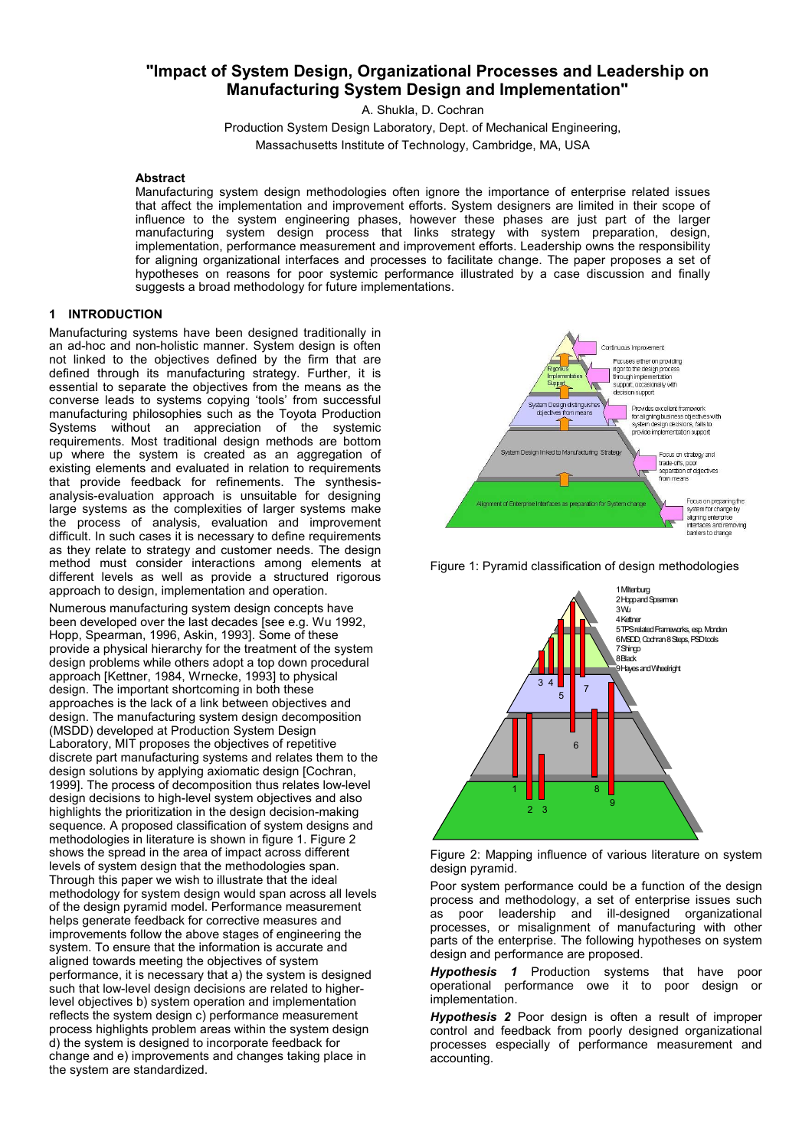# **"Impact of System Design, Organizational Processes and Leadership on Manufacturing System Design and Implementation"**

A. Shukla, D. Cochran Production System Design Laboratory, Dept. of Mechanical Engineering, Massachusetts Institute of Technology, Cambridge, MA, USA

### **Abstract**

Manufacturing system design methodologies often ignore the importance of enterprise related issues that affect the implementation and improvement efforts. System designers are limited in their scope of influence to the system engineering phases, however these phases are just part of the larger manufacturing system design process that links strategy with system preparation, design, implementation, performance measurement and improvement efforts. Leadership owns the responsibility for aligning organizational interfaces and processes to facilitate change. The paper proposes a set of hypotheses on reasons for poor systemic performance illustrated by a case discussion and finally suggests a broad methodology for future implementations.

# **1 INTRODUCTION**

Manufacturing systems have been designed traditionally in an ad-hoc and non-holistic manner. System design is often not linked to the objectives defined by the firm that are defined through its manufacturing strategy. Further, it is essential to separate the objectives from the means as the converse leads to systems copying 'tools' from successful manufacturing philosophies such as the Toyota Production Systems without an appreciation of the systemic requirements. Most traditional design methods are bottom up where the system is created as an aggregation of existing elements and evaluated in relation to requirements that provide feedback for refinements. The synthesisanalysis-evaluation approach is unsuitable for designing large systems as the complexities of larger systems make the process of analysis, evaluation and improvement difficult. In such cases it is necessary to define requirements as they relate to strategy and customer needs. The design method must consider interactions among elements at different levels as well as provide a structured rigorous approach to design, implementation and operation.

Numerous manufacturing system design concepts have been developed over the last decades [see e.g. Wu 1992, Hopp, Spearman, 1996, Askin, 1993]. Some of these provide a physical hierarchy for the treatment of the system design problems while others adopt a top down procedural approach [Kettner, 1984, Wrnecke, 1993] to physical design. The important shortcoming in both these approaches is the lack of a link between objectives and design. The manufacturing system design decomposition (MSDD) developed at Production System Design Laboratory, MIT proposes the objectives of repetitive discrete part manufacturing systems and relates them to the design solutions by applying axiomatic design [Cochran, 1999]. The process of decomposition thus relates low-level design decisions to high-level system objectives and also highlights the prioritization in the design decision-making sequence. A proposed classification of system designs and methodologies in literature is shown in figure 1. Figure 2 shows the spread in the area of impact across different levels of system design that the methodologies span. Through this paper we wish to illustrate that the ideal methodology for system design would span across all levels of the design pyramid model. Performance measurement helps generate feedback for corrective measures and improvements follow the above stages of engineering the system. To ensure that the information is accurate and aligned towards meeting the objectives of system performance, it is necessary that a) the system is designed such that low-level design decisions are related to higherlevel objectives b) system operation and implementation reflects the system design c) performance measurement process highlights problem areas within the system design d) the system is designed to incorporate feedback for change and e) improvements and changes taking place in the system are standardized.



Figure 1: Pyramid classification of design methodologies





Poor system performance could be a function of the design process and methodology, a set of enterprise issues such as poor leadership and ill-designed organizational processes, or misalignment of manufacturing with other parts of the enterprise. The following hypotheses on system design and performance are proposed.

*Hypothesis 1* Production systems that have poor operational performance owe it to poor design or implementation.

*Hypothesis 2* Poor design is often a result of improper control and feedback from poorly designed organizational processes especially of performance measurement and accounting.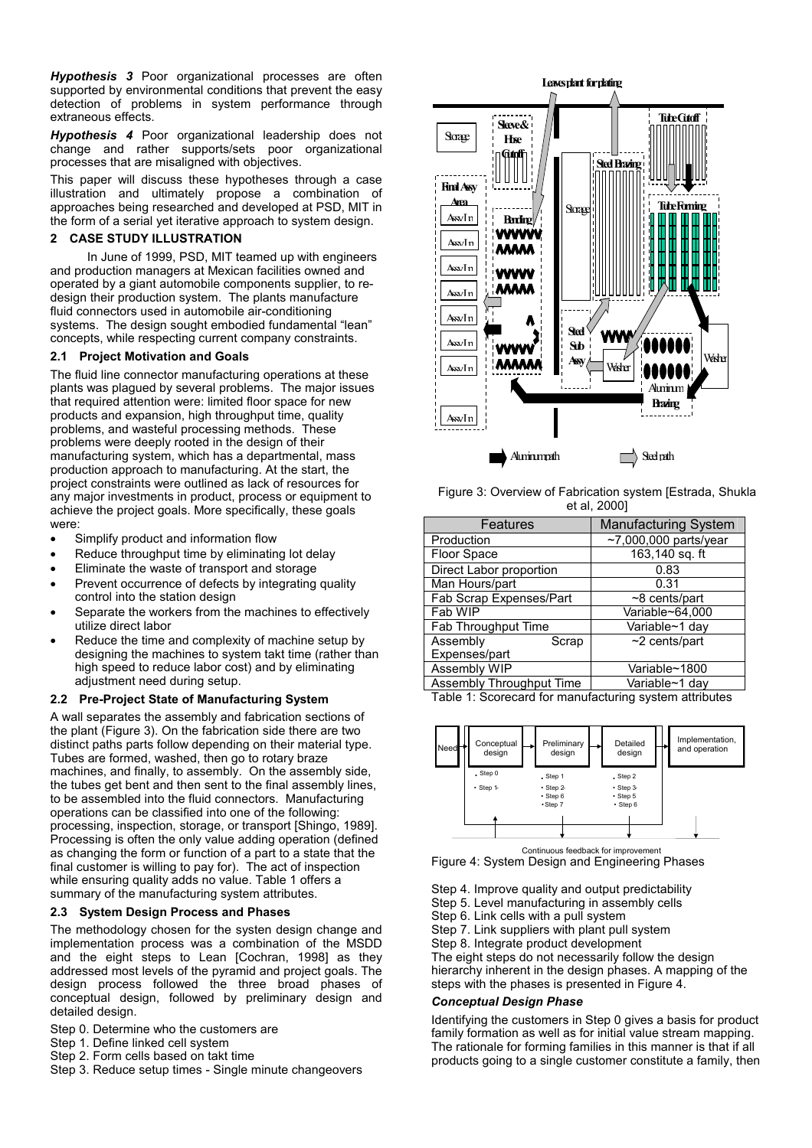*Hypothesis 3* Poor organizational processes are often supported by environmental conditions that prevent the easy detection of problems in system performance through extraneous effects.

*Hypothesis 4* Poor organizational leadership does not change and rather supports/sets poor organizational processes that are misaligned with objectives.

This paper will discuss these hypotheses through a case illustration and ultimately propose a combination of approaches being researched and developed at PSD, MIT in the form of a serial yet iterative approach to system design.

# **2 CASE STUDY ILLUSTRATION**

In June of 1999, PSD, MIT teamed up with engineers and production managers at Mexican facilities owned and operated by a giant automobile components supplier, to redesign their production system. The plants manufacture fluid connectors used in automobile air-conditioning systems. The design sought embodied fundamental "lean" concepts, while respecting current company constraints.

# **2.1 Project Motivation and Goals**

The fluid line connector manufacturing operations at these plants was plagued by several problems. The major issues that required attention were: limited floor space for new products and expansion, high throughput time, quality problems, and wasteful processing methods. These problems were deeply rooted in the design of their manufacturing system, which has a departmental, mass production approach to manufacturing. At the start, the project constraints were outlined as lack of resources for any major investments in product, process or equipment to achieve the project goals. More specifically, these goals were:

- Simplify product and information flow
- Reduce throughput time by eliminating lot delay
- Eliminate the waste of transport and storage
- Prevent occurrence of defects by integrating quality control into the station design
- Separate the workers from the machines to effectively utilize direct labor
- Reduce the time and complexity of machine setup by designing the machines to system takt time (rather than high speed to reduce labor cost) and by eliminating adjustment need during setup.

### **2.2 Pre-Project State of Manufacturing System**

A wall separates the assembly and fabrication sections of the plant (Figure 3). On the fabrication side there are two distinct paths parts follow depending on their material type. Tubes are formed, washed, then go to rotary braze machines, and finally, to assembly. On the assembly side, the tubes get bent and then sent to the final assembly lines, to be assembled into the fluid connectors. Manufacturing operations can be classified into one of the following: processing, inspection, storage, or transport [Shingo, 1989]. Processing is often the only value adding operation (defined as changing the form or function of a part to a state that the final customer is willing to pay for). The act of inspection while ensuring quality adds no value. Table 1 offers a summary of the manufacturing system attributes.

# **2.3 System Design Process and Phases**

The methodology chosen for the systen design change and implementation process was a combination of the MSDD and the eight steps to Lean [Cochran, 1998] as they addressed most levels of the pyramid and project goals. The design process followed the three broad phases of conceptual design, followed by preliminary design and detailed design.

- Step 0. Determine who the customers are
- Step 1. Define linked cell system
- Step 2. Form cells based on takt time
- Step 3. Reduce setup times Single minute changeovers



Figure 3: Overview of Fabrication system [Estrada, Shukla et al, 2000]

| Features                 | <b>Manufacturing System</b>   |  |
|--------------------------|-------------------------------|--|
| Production               | $~1$ ,000,000 parts/year      |  |
| Floor Space              | $\overline{163}$ , 140 sq. ft |  |
| Direct Labor proportion  | 0.83                          |  |
| Man Hours/part           | 0.31                          |  |
| Fab Scrap Expenses/Part  | $~8$ cents/part               |  |
| Fab WIP                  | Variable~64,000               |  |
| Fab Throughput Time      | Variable~1 day                |  |
| Assembly<br>Scrap        | $~2$ cents/part               |  |
| Expenses/part            |                               |  |
| <b>Assembly WIP</b>      | Variable~1800                 |  |
| Assembly Throughput Time | Variable~1 day                |  |

Table 1: Scorecard for manufacturing system attributes



Continuous feedback for improvement Figure 4: System Design and Engineering Phases

Step 4. Improve quality and output predictability

Step 5. Level manufacturing in assembly cells

Step 6. Link cells with a pull system

Step 7. Link suppliers with plant pull system

Step 8. Integrate product development

The eight steps do not necessarily follow the design hierarchy inherent in the design phases. A mapping of the steps with the phases is presented in Figure 4.

#### *Conceptual Design Phase*

Identifying the customers in Step 0 gives a basis for product family formation as well as for initial value stream mapping. The rationale for forming families in this manner is that if all products going to a single customer constitute a family, then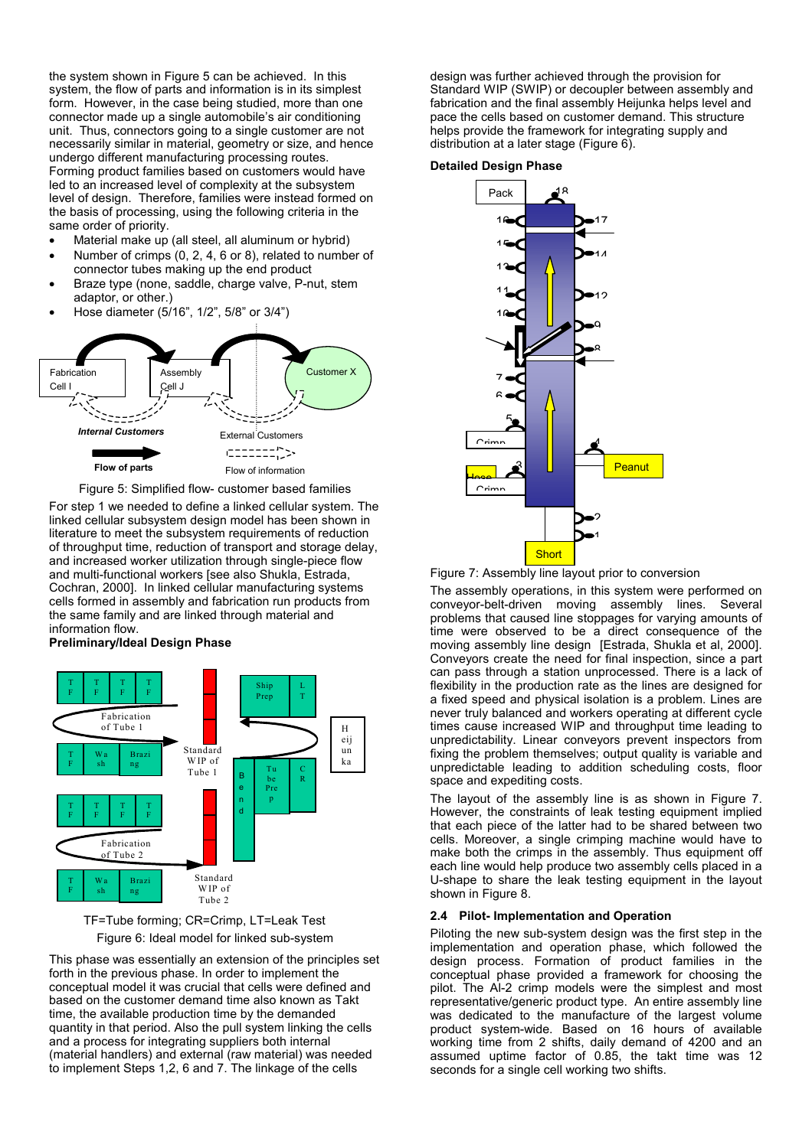the system shown in Figure 5 can be achieved. In this system, the flow of parts and information is in its simplest form. However, in the case being studied, more than one connector made up a single automobile's air conditioning unit. Thus, connectors going to a single customer are not necessarily similar in material, geometry or size, and hence undergo different manufacturing processing routes. Forming product families based on customers would have led to an increased level of complexity at the subsystem level of design. Therefore, families were instead formed on the basis of processing, using the following criteria in the same order of priority.

- Material make up (all steel, all aluminum or hybrid)
- Number of crimps (0, 2, 4, 6 or 8), related to number of connector tubes making up the end product
- Braze type (none, saddle, charge valve, P-nut, stem adaptor, or other.)
- Hose diameter (5/16", 1/2", 5/8" or 3/4")



Figure 5: Simplified flow- customer based families

For step 1 we needed to define a linked cellular system. The linked cellular subsystem design model has been shown in literature to meet the subsystem requirements of reduction of throughput time, reduction of transport and storage delay, and increased worker utilization through single-piece flow and multi-functional workers [see also Shukla, Estrada, Cochran, 2000]. In linked cellular manufacturing systems cells formed in assembly and fabrication run products from the same family and are linked through material and information flow.

#### **Preliminary/Ideal Design Phase**



 TF=Tube forming; CR=Crimp, LT=Leak Test Figure 6: Ideal model for linked sub-system

This phase was essentially an extension of the principles set forth in the previous phase. In order to implement the conceptual model it was crucial that cells were defined and based on the customer demand time also known as Takt time, the available production time by the demanded quantity in that period. Also the pull system linking the cells and a process for integrating suppliers both internal (material handlers) and external (raw material) was needed to implement Steps 1,2, 6 and 7. The linkage of the cells

design was further achieved through the provision for Standard WIP (SWIP) or decoupler between assembly and fabrication and the final assembly Heijunka helps level and pace the cells based on customer demand. This structure helps provide the framework for integrating supply and distribution at a later stage (Figure 6).

#### **Detailed Design Phase**



Figure 7: Assembly line layout prior to conversion

The assembly operations, in this system were performed on conveyor-belt-driven moving assembly lines. Several problems that caused line stoppages for varying amounts of time were observed to be a direct consequence of the moving assembly line design [Estrada, Shukla et al, 2000]. Conveyors create the need for final inspection, since a part can pass through a station unprocessed. There is a lack of flexibility in the production rate as the lines are designed for a fixed speed and physical isolation is a problem. Lines are never truly balanced and workers operating at different cycle times cause increased WIP and throughput time leading to unpredictability. Linear conveyors prevent inspectors from fixing the problem themselves; output quality is variable and unpredictable leading to addition scheduling costs, floor space and expediting costs.

The layout of the assembly line is as shown in Figure 7. However, the constraints of leak testing equipment implied that each piece of the latter had to be shared between two cells. Moreover, a single crimping machine would have to make both the crimps in the assembly. Thus equipment off each line would help produce two assembly cells placed in a U-shape to share the leak testing equipment in the layout shown in Figure 8.

#### **2.4 Pilot- Implementation and Operation**

Piloting the new sub-system design was the first step in the implementation and operation phase, which followed the design process. Formation of product families in the conceptual phase provided a framework for choosing the pilot. The Al-2 crimp models were the simplest and most representative/generic product type. An entire assembly line was dedicated to the manufacture of the largest volume product system-wide. Based on 16 hours of available working time from 2 shifts, daily demand of 4200 and an assumed uptime factor of 0.85, the takt time was 12 seconds for a single cell working two shifts.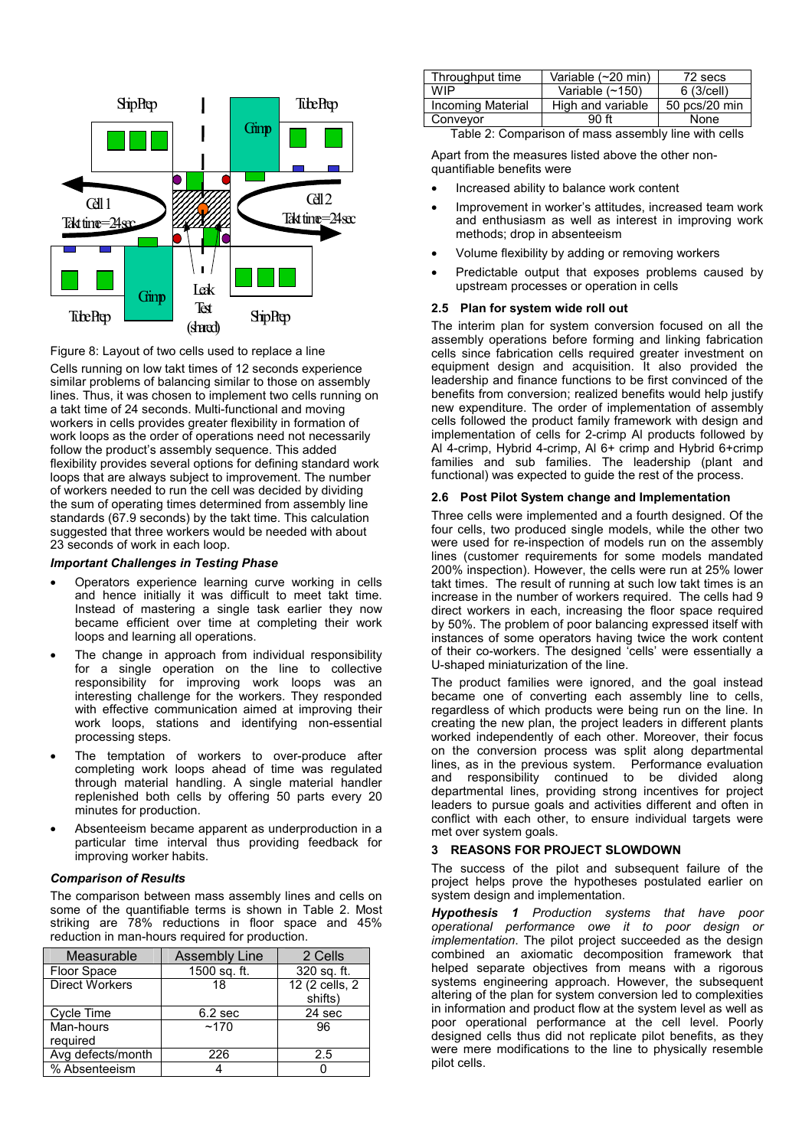

Figure 8: Layout of two cells used to replace a line

Cells running on low takt times of 12 seconds experience similar problems of balancing similar to those on assembly lines. Thus, it was chosen to implement two cells running on a takt time of 24 seconds. Multi-functional and moving workers in cells provides greater flexibility in formation of work loops as the order of operations need not necessarily follow the product's assembly sequence. This added flexibility provides several options for defining standard work loops that are always subject to improvement. The number of workers needed to run the cell was decided by dividing the sum of operating times determined from assembly line standards (67.9 seconds) by the takt time. This calculation suggested that three workers would be needed with about 23 seconds of work in each loop.

### *Important Challenges in Testing Phase*

- Operators experience learning curve working in cells and hence initially it was difficult to meet takt time. Instead of mastering a single task earlier they now became efficient over time at completing their work loops and learning all operations.
- The change in approach from individual responsibility for a single operation on the line to collective responsibility for improving work loops was an interesting challenge for the workers. They responded with effective communication aimed at improving their work loops, stations and identifying non-essential processing steps.
- The temptation of workers to over-produce after completing work loops ahead of time was regulated through material handling. A single material handler replenished both cells by offering 50 parts every 20 minutes for production.
- Absenteeism became apparent as underproduction in a particular time interval thus providing feedback for improving worker habits.

# *Comparison of Results*

The comparison between mass assembly lines and cells on some of the quantifiable terms is shown in Table 2. Most striking are 78% reductions in floor space and 45% reduction in man-hours required for production.

| Measurable            | <b>Assembly Line</b> | 2 Cells                   |
|-----------------------|----------------------|---------------------------|
| Floor Space           | 1500 sq. ft.         | 320 sq. ft.               |
| <b>Direct Workers</b> | 18                   | 12 (2 cells, 2<br>shifts) |
| Cycle Time            | 6.2 <sub>sec</sub>   | 24 sec                    |
| Man-hours<br>required | ~170                 | 96                        |
| Avg defects/month     | 226                  | 2.5                       |
| % Absenteeism         |                      |                           |

| Variable $(\sim 150)$ | 6(3/cell)     |
|-----------------------|---------------|
|                       |               |
| High and variable     | 50 pcs/20 min |
| 90 ft                 | None          |
|                       |               |

Table 2: Comparison of mass assembly line with cells

Apart from the measures listed above the other nonquantifiable benefits were

- Increased ability to balance work content
- Improvement in worker's attitudes, increased team work and enthusiasm as well as interest in improving work methods; drop in absenteeism
- Volume flexibility by adding or removing workers
- Predictable output that exposes problems caused by upstream processes or operation in cells

### **2.5 Plan for system wide roll out**

The interim plan for system conversion focused on all the assembly operations before forming and linking fabrication cells since fabrication cells required greater investment on equipment design and acquisition. It also provided the leadership and finance functions to be first convinced of the benefits from conversion; realized benefits would help justify new expenditure. The order of implementation of assembly cells followed the product family framework with design and implementation of cells for 2-crimp Al products followed by Al 4-crimp, Hybrid 4-crimp, Al 6+ crimp and Hybrid 6+crimp families and sub families. The leadership (plant and functional) was expected to quide the rest of the process.

### **2.6 Post Pilot System change and Implementation**

Three cells were implemented and a fourth designed. Of the four cells, two produced single models, while the other two were used for re-inspection of models run on the assembly lines (customer requirements for some models mandated 200% inspection). However, the cells were run at 25% lower takt times. The result of running at such low takt times is an increase in the number of workers required. The cells had 9 direct workers in each, increasing the floor space required by 50%. The problem of poor balancing expressed itself with instances of some operators having twice the work content of their co-workers. The designed 'cells' were essentially a U-shaped miniaturization of the line.

The product families were ignored, and the goal instead became one of converting each assembly line to cells, regardless of which products were being run on the line. In creating the new plan, the project leaders in different plants worked independently of each other. Moreover, their focus on the conversion process was split along departmental lines, as in the previous system. Performance evaluation and responsibility continued to be divided along departmental lines, providing strong incentives for project leaders to pursue goals and activities different and often in conflict with each other, to ensure individual targets were met over system goals.

### **3 REASONS FOR PROJECT SLOWDOWN**

The success of the pilot and subsequent failure of the project helps prove the hypotheses postulated earlier on system design and implementation.

*Hypothesis 1 Production systems that have poor operational performance owe it to poor design or implementation*. The pilot project succeeded as the design combined an axiomatic decomposition framework that helped separate objectives from means with a rigorous systems engineering approach. However, the subsequent altering of the plan for system conversion led to complexities in information and product flow at the system level as well as poor operational performance at the cell level. Poorly designed cells thus did not replicate pilot benefits, as they were mere modifications to the line to physically resemble pilot cells.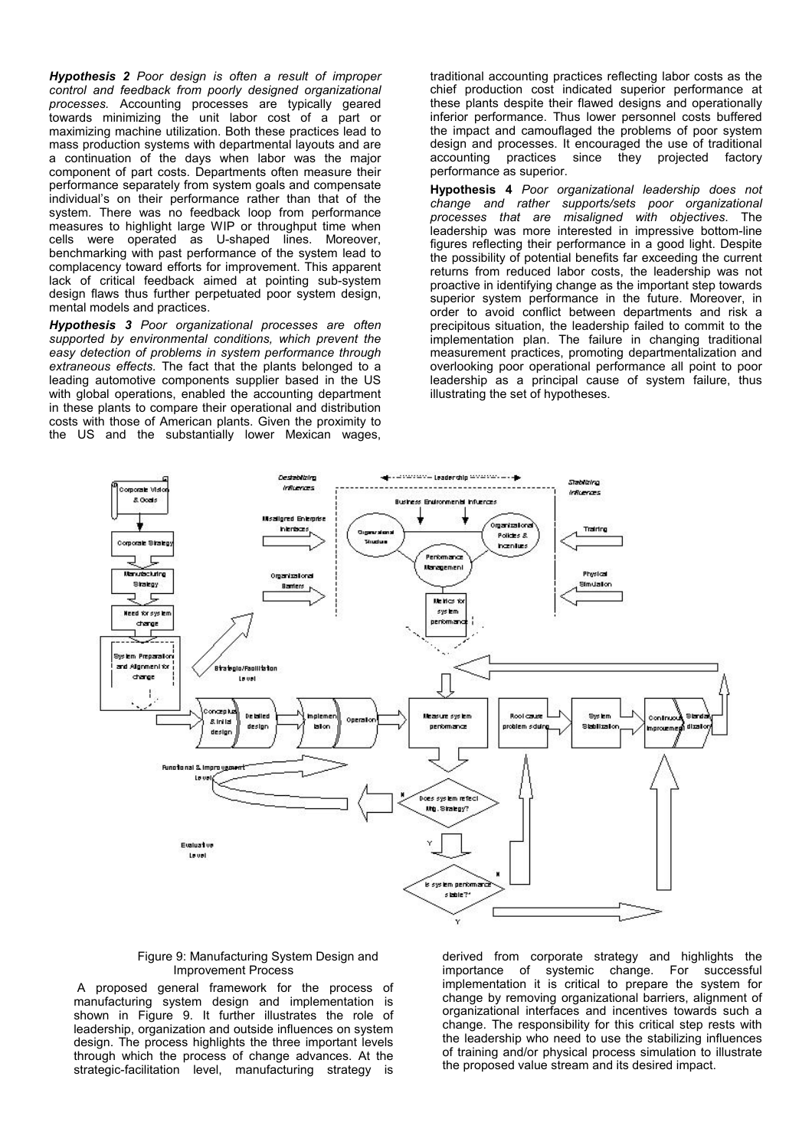*Hypothesis 2 Poor design is often a result of improper control and feedback from poorly designed organizational processes.* Accounting processes are typically geared towards minimizing the unit labor cost of a part or maximizing machine utilization. Both these practices lead to mass production systems with departmental layouts and are a continuation of the days when labor was the major component of part costs. Departments often measure their performance separately from system goals and compensate individual's on their performance rather than that of the system. There was no feedback loop from performance measures to highlight large WIP or throughput time when cells were operated as U-shaped lines. Moreover, benchmarking with past performance of the system lead to complacency toward efforts for improvement. This apparent lack of critical feedback aimed at pointing sub-system design flaws thus further perpetuated poor system design, mental models and practices.

*Hypothesis 3 Poor organizational processes are often supported by environmental conditions, which prevent the easy detection of problems in system performance through extraneous effects.* The fact that the plants belonged to a leading automotive components supplier based in the US with global operations, enabled the accounting department in these plants to compare their operational and distribution costs with those of American plants. Given the proximity to the US and the substantially lower Mexican wages,

traditional accounting practices reflecting labor costs as the chief production cost indicated superior performance at these plants despite their flawed designs and operationally inferior performance. Thus lower personnel costs buffered the impact and camouflaged the problems of poor system design and processes. It encouraged the use of traditional accounting practices since they projected factory performance as superior.

**Hypothesis 4** *Poor organizational leadership does not change and rather supports/sets poor organizational processes that are misaligned with objectives*. The leadership was more interested in impressive bottom-line figures reflecting their performance in a good light. Despite the possibility of potential benefits far exceeding the current returns from reduced labor costs, the leadership was not proactive in identifying change as the important step towards superior system performance in the future. Moreover, in order to avoid conflict between departments and risk a precipitous situation, the leadership failed to commit to the implementation plan. The failure in changing traditional measurement practices, promoting departmentalization and overlooking poor operational performance all point to poor leadership as a principal cause of system failure, thus illustrating the set of hypotheses.



#### Figure 9: Manufacturing System Design and Improvement Process

 A proposed general framework for the process of manufacturing system design and implementation is shown in Figure 9. It further illustrates the role of leadership, organization and outside influences on system design. The process highlights the three important levels through which the process of change advances. At the strategic-facilitation level, manufacturing strategy is

derived from corporate strategy and highlights the importance of systemic change. For successful implementation it is critical to prepare the system for change by removing organizational barriers, alignment of organizational interfaces and incentives towards such a change. The responsibility for this critical step rests with the leadership who need to use the stabilizing influences of training and/or physical process simulation to illustrate the proposed value stream and its desired impact.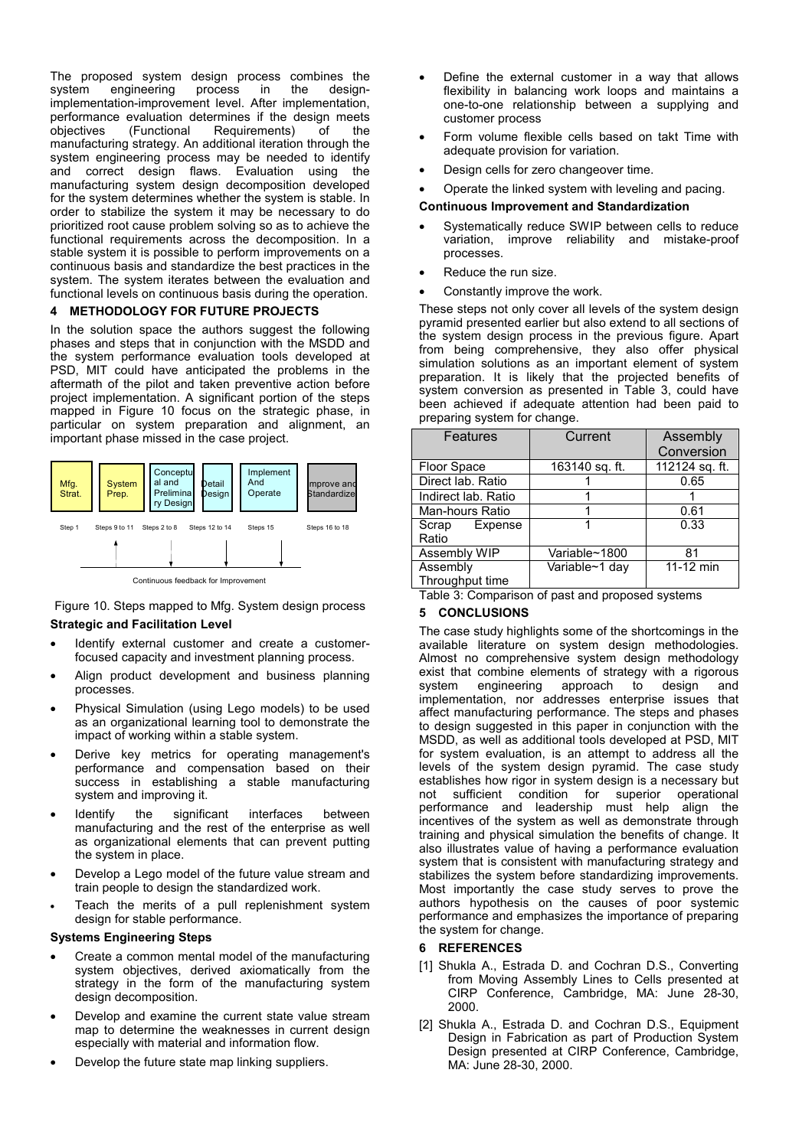The proposed system design process combines the system engineering process in the designsystem engineering process in the designimplementation-improvement level. After implementation, performance evaluation determines if the design meets objectives (Functional Requirements) of the manufacturing strategy. An additional iteration through the system engineering process may be needed to identify and correct design flaws. Evaluation using the manufacturing system design decomposition developed for the system determines whether the system is stable. In order to stabilize the system it may be necessary to do prioritized root cause problem solving so as to achieve the functional requirements across the decomposition. In a stable system it is possible to perform improvements on a continuous basis and standardize the best practices in the system. The system iterates between the evaluation and functional levels on continuous basis during the operation.

# **4 METHODOLOGY FOR FUTURE PROJECTS**

In the solution space the authors suggest the following phases and steps that in conjunction with the MSDD and the system performance evaluation tools developed at PSD, MIT could have anticipated the problems in the aftermath of the pilot and taken preventive action before project implementation. A significant portion of the steps mapped in Figure 10 focus on the strategic phase, in particular on system preparation and alignment, an important phase missed in the case project.



Figure 10. Steps mapped to Mfg. System design process **Strategic and Facilitation Level** 

- Identify external customer and create a customerfocused capacity and investment planning process.
- Align product development and business planning processes.
- Physical Simulation (using Lego models) to be used as an organizational learning tool to demonstrate the impact of working within a stable system.
- Derive key metrics for operating management's performance and compensation based on their success in establishing a stable manufacturing system and improving it.
- Identify the significant interfaces between manufacturing and the rest of the enterprise as well as organizational elements that can prevent putting the system in place.
- Develop a Lego model of the future value stream and train people to design the standardized work.
- Teach the merits of a pull replenishment system design for stable performance.

### **Systems Engineering Steps**

- Create a common mental model of the manufacturing system objectives, derived axiomatically from the strategy in the form of the manufacturing system design decomposition.
- Develop and examine the current state value stream map to determine the weaknesses in current design especially with material and information flow.
- Develop the future state map linking suppliers.
- Define the external customer in a way that allows flexibility in balancing work loops and maintains a one-to-one relationship between a supplying and customer process
- Form volume flexible cells based on takt Time with adequate provision for variation.
- Design cells for zero changeover time.
- Operate the linked system with leveling and pacing.

### **Continuous Improvement and Standardization**

- Systematically reduce SWIP between cells to reduce variation, improve reliability and mistake-proof processes.
- Reduce the run size.
- Constantly improve the work.

These steps not only cover all levels of the system design pyramid presented earlier but also extend to all sections of the system design process in the previous figure. Apart from being comprehensive, they also offer physical simulation solutions as an important element of system preparation. It is likely that the projected benefits of system conversion as presented in Table 3, could have been achieved if adequate attention had been paid to preparing system for change.

| <b>Features</b>             | Current        | Assembly<br>Conversion |
|-----------------------------|----------------|------------------------|
| <b>Floor Space</b>          | 163140 sq. ft. | 112124 sq. ft.         |
| Direct lab. Ratio           |                | 0.65                   |
| Indirect lab. Ratio         |                |                        |
| Man-hours Ratio             |                | 0.61                   |
| Scrap<br>Expense<br>Ratio   |                | 0.33                   |
| Assembly WIP                | Variable~1800  | 81                     |
| Assembly<br>Throughput time | Variable~1 day | 11-12 min              |
|                             |                |                        |

Table 3: Comparison of past and proposed systems

# **5 CONCLUSIONS**

The case study highlights some of the shortcomings in the available literature on system design methodologies. Almost no comprehensive system design methodology exist that combine elements of strategy with a rigorous system engineering approach to design and implementation, nor addresses enterprise issues that affect manufacturing performance. The steps and phases to design suggested in this paper in conjunction with the MSDD, as well as additional tools developed at PSD, MIT for system evaluation, is an attempt to address all the levels of the system design pyramid. The case study establishes how rigor in system design is a necessary but not sufficient condition for superior operational performance and leadership must help align the incentives of the system as well as demonstrate through training and physical simulation the benefits of change. It also illustrates value of having a performance evaluation system that is consistent with manufacturing strategy and stabilizes the system before standardizing improvements. Most importantly the case study serves to prove the authors hypothesis on the causes of poor systemic performance and emphasizes the importance of preparing the system for change.

# **6 REFERENCES**

- [1] Shukla A., Estrada D. and Cochran D.S., Converting from Moving Assembly Lines to Cells presented at CIRP Conference, Cambridge, MA: June 28-30, 2000.
- [2] Shukla A., Estrada D. and Cochran D.S., Equipment Design in Fabrication as part of Production System Design presented at CIRP Conference, Cambridge, MA: June 28-30, 2000.